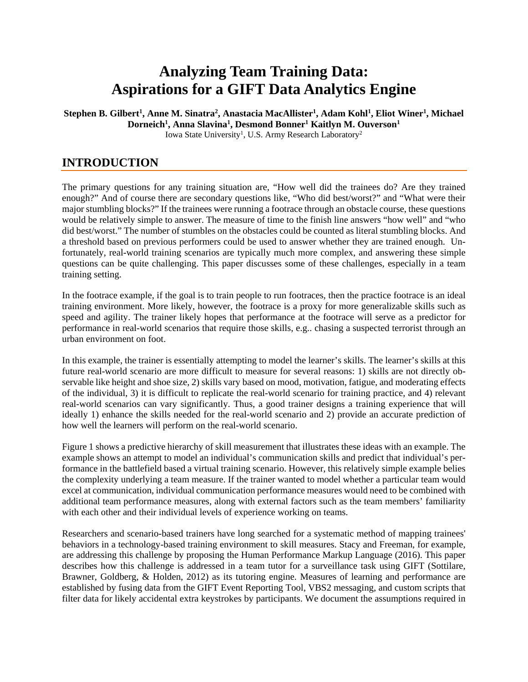# **Analyzing Team Training Data: Aspirations for a GIFT Data Analytics Engine**

 $\bf{S}$ tephen  $\bf{B}.$  Gilbert<sup>1</sup>, Anne  $\bf{M}.$  Sinatra<sup>2</sup>, Anastacia MacAllister<sup>1</sup>, Adam  $\bf{K}$ ohl<sup>1</sup>, Eliot Winer<sup>1</sup>, Michael **Dorneich1 , Anna Slavina1 , Desmond Bonner1 Kaitlyn M. Ouverson1** Iowa State University<sup>1</sup>, U.S. Army Research Laboratory<sup>2</sup>

### **INTRODUCTION**

The primary questions for any training situation are, "How well did the trainees do? Are they trained enough?" And of course there are secondary questions like, "Who did best/worst?" and "What were their major stumbling blocks?" If the trainees were running a footrace through an obstacle course, these questions would be relatively simple to answer. The measure of time to the finish line answers "how well" and "who did best/worst." The number of stumbles on the obstacles could be counted as literal stumbling blocks. And a threshold based on previous performers could be used to answer whether they are trained enough. Unfortunately, real-world training scenarios are typically much more complex, and answering these simple questions can be quite challenging. This paper discusses some of these challenges, especially in a team training setting.

In the footrace example, if the goal is to train people to run footraces, then the practice footrace is an ideal training environment. More likely, however, the footrace is a proxy for more generalizable skills such as speed and agility. The trainer likely hopes that performance at the footrace will serve as a predictor for performance in real-world scenarios that require those skills, e.g.. chasing a suspected terrorist through an urban environment on foot.

In this example, the trainer is essentially attempting to model the learner's skills. The learner's skills at this future real-world scenario are more difficult to measure for several reasons: 1) skills are not directly observable like height and shoe size, 2) skills vary based on mood, motivation, fatigue, and moderating effects of the individual, 3) it is difficult to replicate the real-world scenario for training practice, and 4) relevant real-world scenarios can vary significantly. Thus, a good trainer designs a training experience that will ideally 1) enhance the skills needed for the real-world scenario and 2) provide an accurate prediction of how well the learners will perform on the real-world scenario.

[Figure 1](#page-1-0) shows a predictive hierarchy of skill measurement that illustrates these ideas with an example. The example shows an attempt to model an individual's communication skills and predict that individual's performance in the battlefield based a virtual training scenario. However, this relatively simple example belies the complexity underlying a team measure. If the trainer wanted to model whether a particular team would excel at communication, individual communication performance measures would need to be combined with additional team performance measures, along with external factors such as the team members' familiarity with each other and their individual levels of experience working on teams.

Researchers and scenario-based trainers have long searched for a systematic method of mapping trainees' behaviors in a technology-based training environment to skill measures. Stacy and Freeman, for example, are addressing this challenge by proposing the Human Performance Markup Language [\(2016\)](#page-9-0). This paper describes how this challenge is addressed in a team tutor for a surveillance task using GIFT [\(Sottilare,](#page-8-0)  [Brawner, Goldberg, & Holden, 2012\)](#page-8-0) as its tutoring engine. Measures of learning and performance are established by fusing data from the GIFT Event Reporting Tool, VBS2 messaging, and custom scripts that filter data for likely accidental extra keystrokes by participants. We document the assumptions required in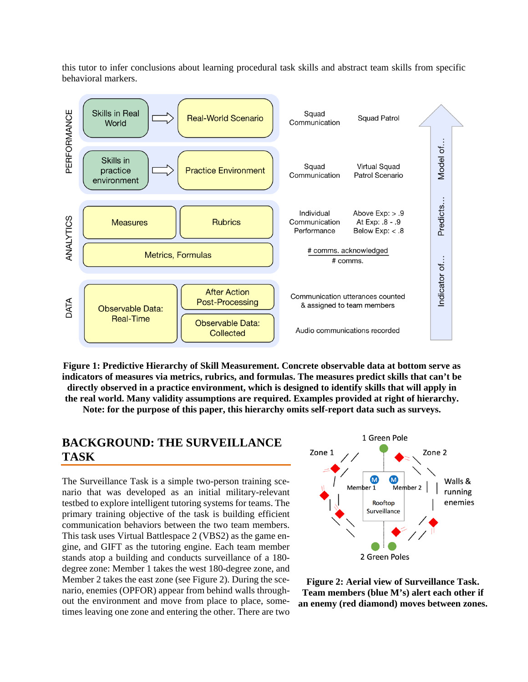this tutor to infer conclusions about learning procedural task skills and abstract team skills from specific behavioral markers.



<span id="page-1-0"></span>**Figure 1: Predictive Hierarchy of Skill Measurement. Concrete observable data at bottom serve as indicators of measures via metrics, rubrics, and formulas. The measures predict skills that can't be directly observed in a practice environment, which is designed to identify skills that will apply in the real world. Many validity assumptions are required. Examples provided at right of hierarchy.** 

**Note: for the purpose of this paper, this hierarchy omits self-report data such as surveys.**

### **BACKGROUND: THE SURVEILLANCE TASK**

The Surveillance Task is a simple two-person training scenario that was developed as an initial military-relevant testbed to explore intelligent tutoring systems for teams. The primary training objective of the task is building efficient communication behaviors between the two team members. This task uses Virtual Battlespace 2 (VBS2) as the game engine, and GIFT as the tutoring engine. Each team member stands atop a building and conducts surveillance of a 180 degree zone: Member 1 takes the west 180-degree zone, and Member 2 takes the east zone (see [Figure 2\)](#page-1-1). During the scenario, enemies (OPFOR) appear from behind walls throughout the environment and move from place to place, sometimes leaving one zone and entering the other. There are two



<span id="page-1-1"></span>**Figure 2: Aerial view of Surveillance Task. Team members (blue M's) alert each other if an enemy (red diamond) moves between zones.**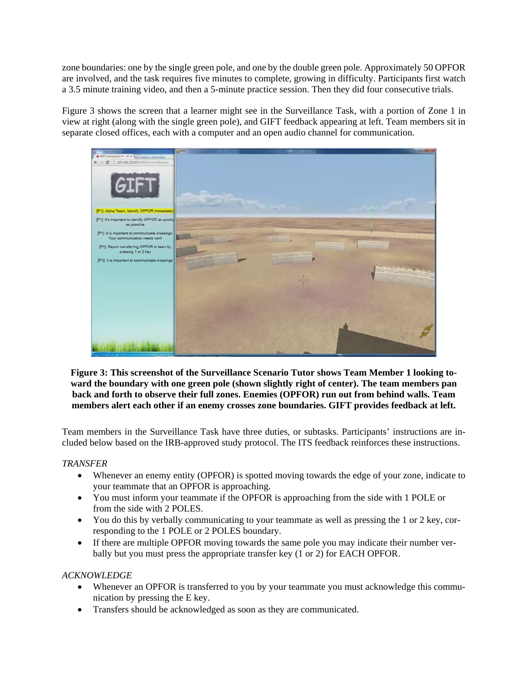zone boundaries: one by the single green pole, and one by the double green pole. Approximately 50 OPFOR are involved, and the task requires five minutes to complete, growing in difficulty. Participants first watch a 3.5 minute training video, and then a 5-minute practice session. Then they did four consecutive trials.

[Figure 3](#page-2-0) shows the screen that a learner might see in the Surveillance Task, with a portion of Zone 1 in view at right (along with the single green pole), and GIFT feedback appearing at left. Team members sit in separate closed offices, each with a computer and an open audio channel for communication.



<span id="page-2-0"></span>**Figure 3: This screenshot of the Surveillance Scenario Tutor shows Team Member 1 looking toward the boundary with one green pole (shown slightly right of center). The team members pan back and forth to observe their full zones. Enemies (OPFOR) run out from behind walls. Team members alert each other if an enemy crosses zone boundaries. GIFT provides feedback at left.**

Team members in the Surveillance Task have three duties, or subtasks. Participants' instructions are included below based on the IRB-approved study protocol. The ITS feedback reinforces these instructions.

### *TRANSFER*

- Whenever an enemy entity (OPFOR) is spotted moving towards the edge of your zone, indicate to your teammate that an OPFOR is approaching.
- You must inform your teammate if the OPFOR is approaching from the side with 1 POLE or from the side with 2 POLES.
- You do this by verbally communicating to your teammate as well as pressing the 1 or 2 key, corresponding to the 1 POLE or 2 POLES boundary.
- If there are multiple OPFOR moving towards the same pole you may indicate their number verbally but you must press the appropriate transfer key (1 or 2) for EACH OPFOR.

### *ACKNOWLEDGE*

- Whenever an OPFOR is transferred to you by your teammate you must acknowledge this communication by pressing the E key.
- Transfers should be acknowledged as soon as they are communicated.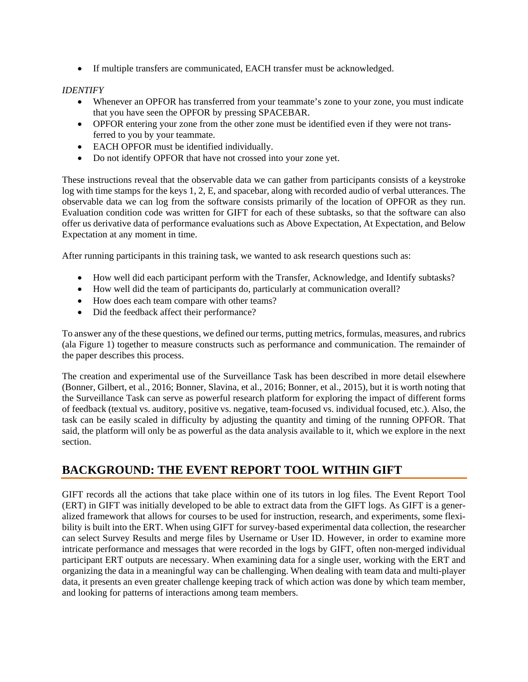• If multiple transfers are communicated, EACH transfer must be acknowledged.

### *IDENTIFY*

- Whenever an OPFOR has transferred from your teammate's zone to your zone, you must indicate that you have seen the OPFOR by pressing SPACEBAR.
- OPFOR entering your zone from the other zone must be identified even if they were not transferred to you by your teammate.
- EACH OPFOR must be identified individually.
- Do not identify OPFOR that have not crossed into your zone yet.

These instructions reveal that the observable data we can gather from participants consists of a keystroke log with time stamps for the keys 1, 2, E, and spacebar, along with recorded audio of verbal utterances. The observable data we can log from the software consists primarily of the location of OPFOR as they run. Evaluation condition code was written for GIFT for each of these subtasks, so that the software can also offer us derivative data of performance evaluations such as Above Expectation, At Expectation, and Below Expectation at any moment in time.

After running participants in this training task, we wanted to ask research questions such as:

- How well did each participant perform with the Transfer, Acknowledge, and Identify subtasks?
- How well did the team of participants do, particularly at communication overall?
- How does each team compare with other teams?
- Did the feedback affect their performance?

To answer any of the these questions, we defined our terms, putting metrics, formulas, measures, and rubrics (ala [Figure 1\)](#page-1-0) together to measure constructs such as performance and communication. The remainder of the paper describes this process.

The creation and experimental use of the Surveillance Task has been described in more detail elsewhere [\(Bonner, Gilbert, et al., 2016;](#page-8-1) [Bonner, Slavina, et al., 2016;](#page-8-2) [Bonner, et al., 2015\)](#page-8-3), but it is worth noting that the Surveillance Task can serve as powerful research platform for exploring the impact of different forms of feedback (textual vs. auditory, positive vs. negative, team-focused vs. individual focused, etc.). Also, the task can be easily scaled in difficulty by adjusting the quantity and timing of the running OPFOR. That said, the platform will only be as powerful as the data analysis available to it, which we explore in the next section.

# **BACKGROUND: THE EVENT REPORT TOOL WITHIN GIFT**

GIFT records all the actions that take place within one of its tutors in log files. The Event Report Tool (ERT) in GIFT was initially developed to be able to extract data from the GIFT logs. As GIFT is a generalized framework that allows for courses to be used for instruction, research, and experiments, some flexibility is built into the ERT. When using GIFT for survey-based experimental data collection, the researcher can select Survey Results and merge files by Username or User ID. However, in order to examine more intricate performance and messages that were recorded in the logs by GIFT, often non-merged individual participant ERT outputs are necessary. When examining data for a single user, working with the ERT and organizing the data in a meaningful way can be challenging. When dealing with team data and multi-player data, it presents an even greater challenge keeping track of which action was done by which team member, and looking for patterns of interactions among team members.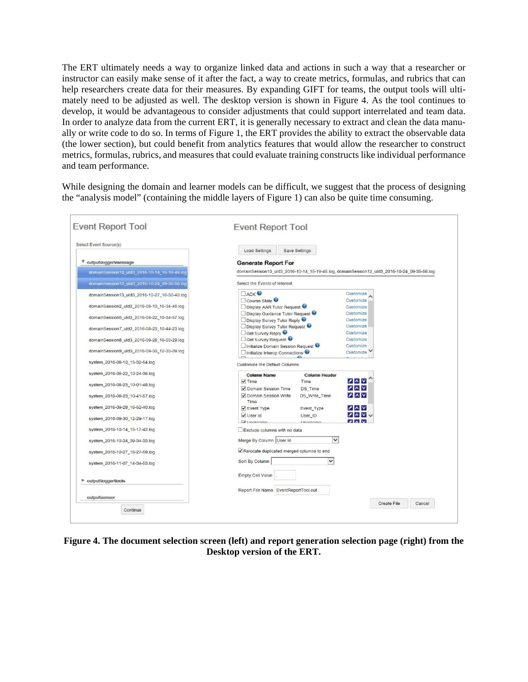The ERT ultimately needs a way to organize linked data and actions in such a way that a researcher or instructor can easily make sense of it after the fact, a way to create metrics, formulas, and rubrics that can help researchers create data for their measures. By expanding GIFT for teams, the output tools will ultimately need to be adjusted as well. The desktop version is shown in [Figure 4.](#page-4-0) As the tool continues to develop, it would be advantageous to consider adjustments that could support interrelated and team data. In order to analyze data from the current ERT, it is generally necessary to extract and clean the data manually or write code to do so. In terms of [Figure 1,](#page-1-0) the ERT provides the ability to extract the observable data (the lower section), but could benefit from analytics features that would allow the researcher to construct metrics, formulas, rubrics, and measures that could evaluate training constructs like individual performance and team performance.

While designing the domain and learner models can be difficult, we suggest that the process of designing the "analysis model" (containing the middle layers of Figure 1) can also be quite time consuming.

| Select Event Source(s)                       |                                                                                            |                                    |                                                                    |  |  |  |
|----------------------------------------------|--------------------------------------------------------------------------------------------|------------------------------------|--------------------------------------------------------------------|--|--|--|
|                                              | <b>Load Settings</b>                                                                       | Save Settings                      |                                                                    |  |  |  |
| output\logger\message                        | <b>Generate Report For</b>                                                                 |                                    |                                                                    |  |  |  |
| domainSession10_uld3_2016-10-14_15-19-46.log | domainSession10_uld3_2016-10-14_15-19-46.log, domainSession12_uld3_2016-10-24_09-35-56.log |                                    |                                                                    |  |  |  |
| domainSession12_uld3_2016-10-24_09-35-56.log | Select the Events of Interest                                                              |                                    |                                                                    |  |  |  |
| domainSession13_uld3_2016-10-27_16-30-40.log | $\Box$ ACK                                                                                 |                                    | Customize<br>Customize                                             |  |  |  |
| domainSession2_uld2_2016-08-10_15-34-46.log  | Course State                                                                               |                                    |                                                                    |  |  |  |
|                                              | Display AAR Tutor Request<br>Display Guidance Tutor Request                                |                                    | Customize<br>Customize                                             |  |  |  |
| domainSession5_uld2_2016-08-22_10-34-57.log  | Display Survey Tutor Reply                                                                 |                                    | Customize                                                          |  |  |  |
|                                              | Display Survey Tutor Request                                                               |                                    | Customize                                                          |  |  |  |
| domainSession7_uld2_2016-08-23_10-44-23.log  | Get Survey Reply                                                                           |                                    | Customize                                                          |  |  |  |
|                                              | Get Survey Request                                                                         |                                    | Customize                                                          |  |  |  |
| domainSession8 uld3 2016-09-28 16-53-29.log  | □ Initialize Domain Session Request ●                                                      |                                    | Customize                                                          |  |  |  |
| domainSession9_uld3_2016-09-30_12-33-09.log  |                                                                                            | □ Initialize Interop Connections ● |                                                                    |  |  |  |
| system_2016-08-10_15-32-54.log               | Customize the Default Columns                                                              |                                    |                                                                    |  |  |  |
| system_2016-08-22_10-24-36.log               | <b>Column Name</b>                                                                         | <b>Column Header</b>               |                                                                    |  |  |  |
|                                              | $\sqrt{}$ Time                                                                             | Time                               | $X \wedge V$                                                       |  |  |  |
| system_2016-08-23_10-01-48.log               | Domain Session Time                                                                        | DS_Time                            | 2 N V                                                              |  |  |  |
| system_2016-08-23_10-41-57.log               | √ Domain Session Write<br>Time                                                             | DS_Write_Time                      | 2 N                                                                |  |  |  |
| system_2016-09-28_16-52-40.log               | ✔ Event Type                                                                               | Event_Type                         | $\sqrt{2}$                                                         |  |  |  |
| system_2016-09-30_12-29-17.log               | √ User Id<br>$\overline{I}$ lleornamo                                                      | User ID<br>Lingranno               | <b>ZAVV</b><br>$\overline{\mathbf{v}}$ and $\overline{\mathbf{v}}$ |  |  |  |
| system_2016-10-14_15-17-42.log               | Exclude columns with no data                                                               |                                    |                                                                    |  |  |  |
| system_2016-10-24_09-34-33.log               | Merge By Column User Id                                                                    | $\checkmark$                       |                                                                    |  |  |  |
| system_2016-10-27_16-27-59.log               | Relocate duplicated merged columns to end                                                  |                                    |                                                                    |  |  |  |
| system_2016-11-07_14-34-53.log               | Sort By Column                                                                             | $\checkmark$                       |                                                                    |  |  |  |
|                                              | <b>Empty Cell Value</b>                                                                    |                                    |                                                                    |  |  |  |
| • output\logger\tools                        |                                                                                            |                                    |                                                                    |  |  |  |
| output\sensor                                | Report File Name EventReportTool.out                                                       |                                    |                                                                    |  |  |  |

<span id="page-4-0"></span>**Figure 4. The document selection screen (left) and report generation selection page (right) from the Desktop version of the ERT.**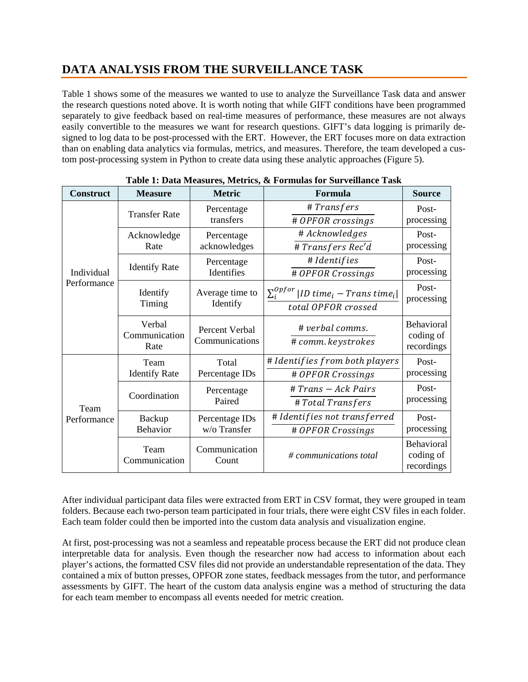# **DATA ANALYSIS FROM THE SURVEILLANCE TASK**

[Table 1](#page-5-0) shows some of the measures we wanted to use to analyze the Surveillance Task data and answer the research questions noted above. It is worth noting that while GIFT conditions have been programmed separately to give feedback based on real-time measures of performance, these measures are not always easily convertible to the measures we want for research questions. GIFT's data logging is primarily designed to log data to be post-processed with the ERT. However, the ERT focuses more on data extraction than on enabling data analytics via formulas, metrics, and measures. Therefore, the team developed a custom post-processing system in Python to create data using these analytic approaches [\(Figure 5\)](#page-6-0).

<span id="page-5-0"></span>

| <b>Construct</b>          | <b>Measure</b>                  | 1. Dutu Mcabarto, Mccrico,<br><b>Metric</b> | a I of manas for but veniunce Tust<br>Formula         | <b>Source</b>                                |  |
|---------------------------|---------------------------------|---------------------------------------------|-------------------------------------------------------|----------------------------------------------|--|
| Individual<br>Performance | <b>Transfer Rate</b>            | Percentage                                  | #Transfers                                            | Post-                                        |  |
|                           |                                 | transfers                                   | # OPFOR crossings                                     | processing                                   |  |
|                           | Acknowledge                     | Percentage<br>acknowledges                  | # Acknowledges                                        | Post-                                        |  |
|                           | Rate                            |                                             | #Transfers Rec'd                                      | processing                                   |  |
|                           |                                 | Percentage                                  | # Identifies                                          | Post-                                        |  |
|                           | <b>Identify Rate</b>            | Identifies                                  | # OPFOR Crossings                                     | processing                                   |  |
|                           | Identify                        | Average time to                             | $\Sigma_i^{opfor}$<br>$ ID\ time_i - Trans\ time_i  $ | Post-<br>processing                          |  |
|                           | Timing                          | Identify                                    | total OPFOR crossed                                   |                                              |  |
|                           | Verbal<br>Communication<br>Rate | Percent Verbal<br>Communications            | # verbal comms.<br># comm. keystrokes                 | <b>Behavioral</b><br>coding of<br>recordings |  |
| Team<br>Performance       | Team                            | Total                                       | # Identifies from both players                        | Post-<br>processing                          |  |
|                           | <b>Identify Rate</b>            | Percentage IDs                              | # OPFOR Crossings                                     |                                              |  |
|                           | Coordination                    | Percentage<br>Paired                        | # Trans - Ack Pairs                                   | Post-                                        |  |
|                           |                                 |                                             | # Total Transfers                                     | processing                                   |  |
|                           | Backup                          | Percentage IDs                              | # Identifies not transferred                          | Post-                                        |  |
|                           | Behavior                        | w/o Transfer                                | # OPFOR Crossings                                     | processing                                   |  |
|                           | Team<br>Communication           | Communication<br>Count                      | # communications total                                | Behavioral<br>coding of<br>recordings        |  |

|  |  |  | Table 1: Data Measures, Metrics, & Formulas for Surveillance Task |  |
|--|--|--|-------------------------------------------------------------------|--|
|  |  |  |                                                                   |  |

After individual participant data files were extracted from ERT in CSV format, they were grouped in team folders. Because each two-person team participated in four trials, there were eight CSV files in each folder. Each team folder could then be imported into the custom data analysis and visualization engine.

At first, post-processing was not a seamless and repeatable process because the ERT did not produce clean interpretable data for analysis. Even though the researcher now had access to information about each player's actions, the formatted CSV files did not provide an understandable representation of the data. They contained a mix of button presses, OPFOR zone states, feedback messages from the tutor, and performance assessments by GIFT. The heart of the custom data analysis engine was a method of structuring the data for each team member to encompass all events needed for metric creation.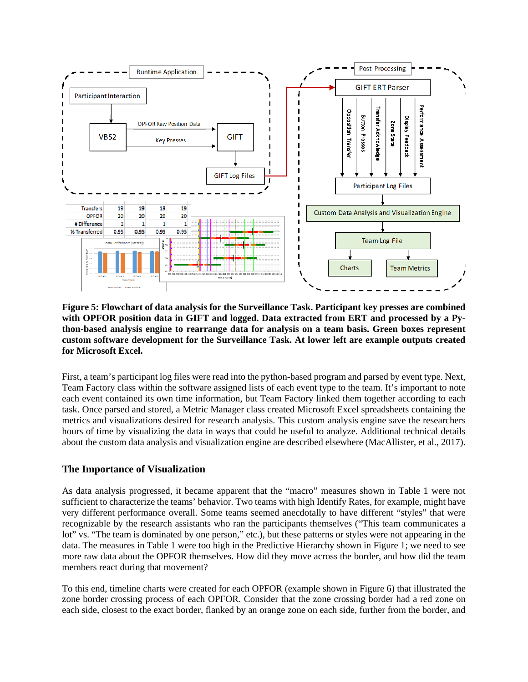

<span id="page-6-0"></span>**Figure 5: Flowchart of data analysis for the Surveillance Task. Participant key presses are combined with OPFOR position data in GIFT and logged. Data extracted from ERT and processed by a Python-based analysis engine to rearrange data for analysis on a team basis. Green boxes represent custom software development for the Surveillance Task. At lower left are example outputs created for Microsoft Excel.** 

First, a team's participant log files were read into the python-based program and parsed by event type. Next, Team Factory class within the software assigned lists of each event type to the team. It's important to note each event contained its own time information, but Team Factory linked them together according to each task. Once parsed and stored, a Metric Manager class created Microsoft Excel spreadsheets containing the metrics and visualizations desired for research analysis. This custom analysis engine save the researchers hours of time by visualizing the data in ways that could be useful to analyze. Additional technical details about the custom data analysis and visualization engine are described elsewhere [\(MacAllister, et al., 2017\)](#page-8-4).

### **The Importance of Visualization**

As data analysis progressed, it became apparent that the "macro" measures shown in [Table 1](#page-5-0) were not sufficient to characterize the teams' behavior. Two teams with high Identify Rates, for example, might have very different performance overall. Some teams seemed anecdotally to have different "styles" that were recognizable by the research assistants who ran the participants themselves ("This team communicates a lot" vs. "The team is dominated by one person," etc.), but these patterns or styles were not appearing in the data. The measures in [Table 1](#page-5-0) were too high in the Predictive Hierarchy shown in [Figure 1;](#page-1-0) we need to see more raw data about the OPFOR themselves. How did they move across the border, and how did the team members react during that movement?

To this end, timeline charts were created for each OPFOR (example shown in [Figure 6\)](#page-7-0) that illustrated the zone border crossing process of each OPFOR. Consider that the zone crossing border had a red zone on each side, closest to the exact border, flanked by an orange zone on each side, further from the border, and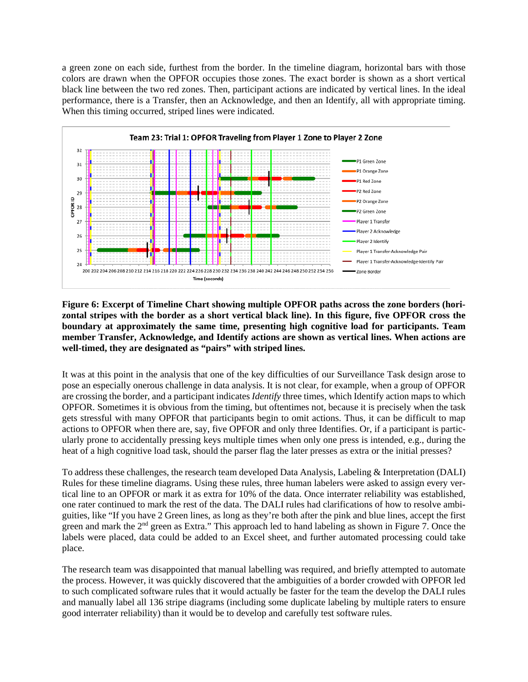a green zone on each side, furthest from the border. In the timeline diagram, horizontal bars with those colors are drawn when the OPFOR occupies those zones. The exact border is shown as a short vertical black line between the two red zones. Then, participant actions are indicated by vertical lines. In the ideal performance, there is a Transfer, then an Acknowledge, and then an Identify, all with appropriate timing. When this timing occurred, striped lines were indicated.



<span id="page-7-0"></span>**Figure 6: Excerpt of Timeline Chart showing multiple OPFOR paths across the zone borders (horizontal stripes with the border as a short vertical black line). In this figure, five OPFOR cross the boundary at approximately the same time, presenting high cognitive load for participants. Team member Transfer, Acknowledge, and Identify actions are shown as vertical lines. When actions are well-timed, they are designated as "pairs" with striped lines.** 

It was at this point in the analysis that one of the key difficulties of our Surveillance Task design arose to pose an especially onerous challenge in data analysis. It is not clear, for example, when a group of OPFOR are crossing the border, and a participant indicates *Identify* three times, which Identify action maps to which OPFOR. Sometimes it is obvious from the timing, but oftentimes not, because it is precisely when the task gets stressful with many OPFOR that participants begin to omit actions. Thus, it can be difficult to map actions to OPFOR when there are, say, five OPFOR and only three Identifies. Or, if a participant is particularly prone to accidentally pressing keys multiple times when only one press is intended, e.g., during the heat of a high cognitive load task, should the parser flag the later presses as extra or the initial presses?

To address these challenges, the research team developed Data Analysis, Labeling & Interpretation (DALI) Rules for these timeline diagrams. Using these rules, three human labelers were asked to assign every vertical line to an OPFOR or mark it as extra for 10% of the data. Once interrater reliability was established, one rater continued to mark the rest of the data. The DALI rules had clarifications of how to resolve ambiguities, like "If you have 2 Green lines, as long as they're both after the pink and blue lines, accept the first green and mark the 2<sup>nd</sup> green as Extra." This approach led to hand labeling as shown in [Figure 7.](#page-8-5) Once the labels were placed, data could be added to an Excel sheet, and further automated processing could take place.

The research team was disappointed that manual labelling was required, and briefly attempted to automate the process. However, it was quickly discovered that the ambiguities of a border crowded with OPFOR led to such complicated software rules that it would actually be faster for the team the develop the DALI rules and manually label all 136 stripe diagrams (including some duplicate labeling by multiple raters to ensure good interrater reliability) than it would be to develop and carefully test software rules.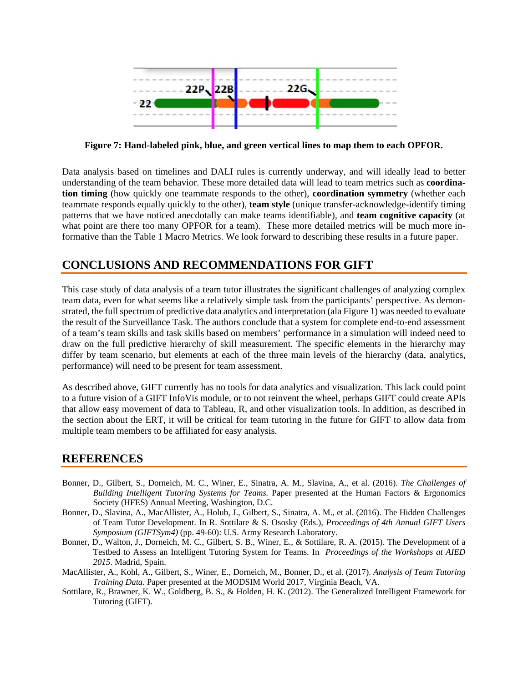

<span id="page-8-5"></span>**Figure 7: Hand-labeled pink, blue, and green vertical lines to map them to each OPFOR.**

Data analysis based on timelines and DALI rules is currently underway, and will ideally lead to better understanding of the team behavior. These more detailed data will lead to team metrics such as **coordination timing** (how quickly one teammate responds to the other), **coordination symmetry** (whether each teammate responds equally quickly to the other), **team style** (unique transfer-acknowledge-identify timing patterns that we have noticed anecdotally can make teams identifiable), and **team cognitive capacity** (at what point are there too many OPFOR for a team). These more detailed metrics will be much more informative than the Table 1 Macro Metrics. We look forward to describing these results in a future paper.

# **CONCLUSIONS AND RECOMMENDATIONS FOR GIFT**

This case study of data analysis of a team tutor illustrates the significant challenges of analyzing complex team data, even for what seems like a relatively simple task from the participants' perspective. As demonstrated, the full spectrum of predictive data analytics and interpretation (al[a Figure 1\)](#page-1-0) was needed to evaluate the result of the Surveillance Task. The authors conclude that a system for complete end-to-end assessment of a team's team skills and task skills based on members' performance in a simulation will indeed need to draw on the full predictive hierarchy of skill measurement. The specific elements in the hierarchy may differ by team scenario, but elements at each of the three main levels of the hierarchy (data, analytics, performance) will need to be present for team assessment.

As described above, GIFT currently has no tools for data analytics and visualization. This lack could point to a future vision of a GIFT InfoVis module, or to not reinvent the wheel, perhaps GIFT could create APIs that allow easy movement of data to Tableau, R, and other visualization tools. In addition, as described in the section about the ERT, it will be critical for team tutoring in the future for GIFT to allow data from multiple team members to be affiliated for easy analysis.

# **REFERENCES**

- <span id="page-8-1"></span>Bonner, D., Gilbert, S., Dorneich, M. C., Winer, E., Sinatra, A. M., Slavina, A., et al. (2016). *The Challenges of Building Intelligent Tutoring Systems for Teams.* Paper presented at the Human Factors & Ergonomics Society (HFES) Annual Meeting, Washington, D.C.
- <span id="page-8-2"></span>Bonner, D., Slavina, A., MacAllister, A., Holub, J., Gilbert, S., Sinatra, A. M., et al. (2016). The Hidden Challenges of Team Tutor Development. In R. Sottilare & S. Ososky (Eds.), *Proceedings of 4th Annual GIFT Users Symposium (GIFTSym4)* (pp. 49-60): U.S. Army Research Laboratory.
- <span id="page-8-3"></span>Bonner, D., Walton, J., Dorneich, M. C., Gilbert, S. B., Winer, E., & Sottilare, R. A. (2015). The Development of a Testbed to Assess an Intelligent Tutoring System for Teams. In *Proceedings of the Workshops at AIED 2015*. Madrid, Spain.
- <span id="page-8-4"></span>MacAllister, A., Kohl, A., Gilbert, S., Winer, E., Dorneich, M., Bonner, D., et al. (2017). *Analysis of Team Tutoring Training Data*. Paper presented at the MODSIM World 2017, Virginia Beach, VA.
- <span id="page-8-0"></span>Sottilare, R., Brawner, K. W., Goldberg, B. S., & Holden, H. K. (2012). The Generalized Intelligent Framework for Tutoring (GIFT).